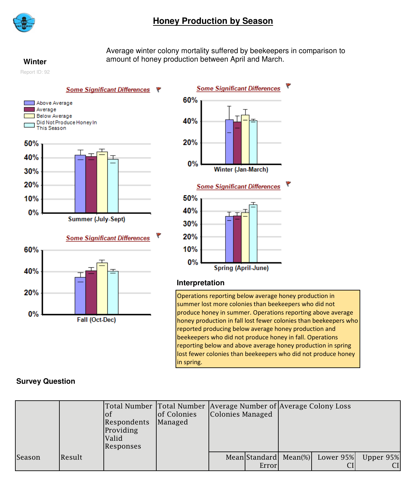

# **Honey Production by Season**

Average winter colony mortality suffered by beekeepers in comparison to **Winter** amount of honey production between April and March.

Report ID: 92

#### Some Significant Differences ₹













### **Interpretation**

Operations reporting below average honey production in summer lost more colonies than beekeepers who did not produce honey in summer. Operations reporting above average honey production in fall lost fewer colonies than beekeepers who reported producing below average honey production and beekeepers who did not produce honey in fall. Operations reporting below and above average honey production in spring lost fewer colonies than beekeepers who did not produce honey in spring.

# **Survey Question**

|        |        | ЮI<br>Respondents<br>Providing<br>Valid<br>Responses | of Colonies<br>Managed | Colonies Managed |       | Total Number Total Number Average Number of Average Colony Loss |           |                 |
|--------|--------|------------------------------------------------------|------------------------|------------------|-------|-----------------------------------------------------------------|-----------|-----------------|
| Season | Result |                                                      |                        |                  | Error | Mean Standard Mean(%)                                           | Lower 95% | Upper 95%<br>CI |